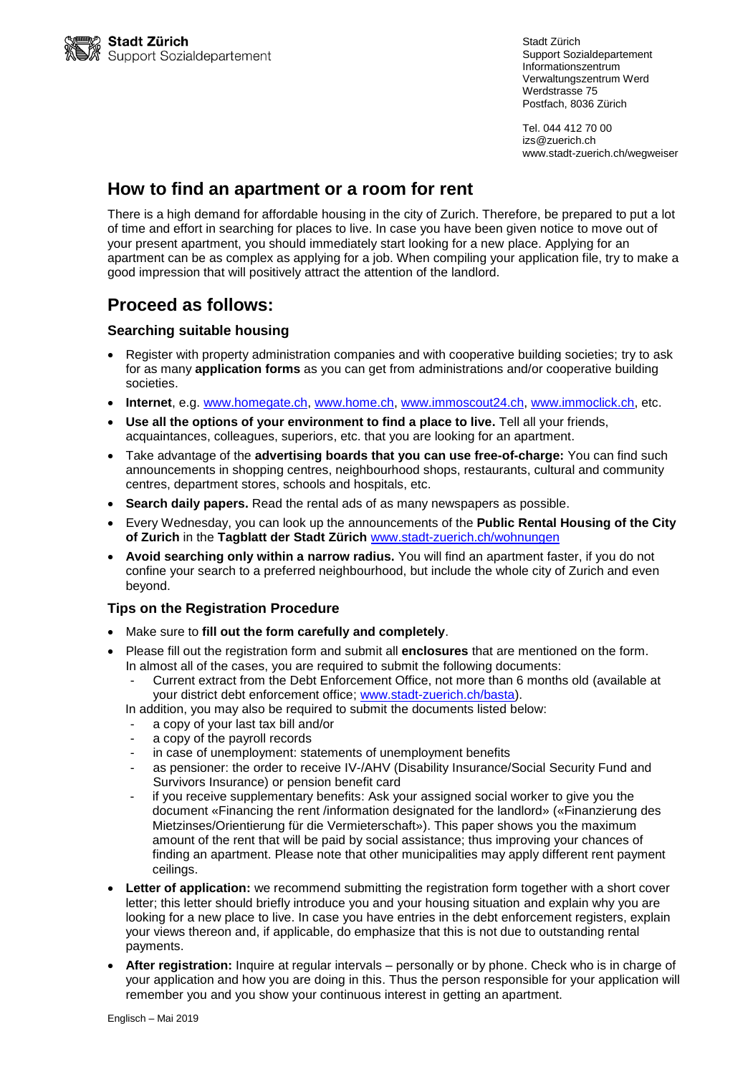Stadt Zürich Support Sozialdepartement Informationszentrum Verwaltungszentrum Werd Werdstrasse 75 Postfach, 8036 Zürich

Tel. 044 412 70 00 izs@zuerich.ch www.stadt-zuerich.ch/wegweiser

### **How to find an apartment or a room for rent**

There is a high demand for affordable housing in the city of Zurich. Therefore, be prepared to put a lot of time and effort in searching for places to live. In case you have been given notice to move out of your present apartment, you should immediately start looking for a new place. Applying for an apartment can be as complex as applying for a job. When compiling your application file, try to make a good impression that will positively attract the attention of the landlord.

# **Proceed as follows:**

### **Searching suitable housing**

- Register with property administration companies and with cooperative building societies; try to ask for as many **application forms** as you can get from administrations and/or cooperative building societies.
- **Internet**, e.g. [www.homegate.ch,](http://www.homegate.ch/) [www.home.ch,](http://www.home.ch/) [www.immoscout24.ch,](http://www.immoscout24.ch/) [www.immoclick.ch,](http://www.immoclick.ch/) etc.
- **Use all the options of your environment to find a place to live.** Tell all your friends, acquaintances, colleagues, superiors, etc. that you are looking for an apartment.
- Take advantage of the **advertising boards that you can use free-of-charge:** You can find such announcements in shopping centres, neighbourhood shops, restaurants, cultural and community centres, department stores, schools and hospitals, etc.
- **Search daily papers.** Read the rental ads of as many newspapers as possible.
- Every Wednesday, you can look up the announcements of the **Public Rental Housing of the City of Zurich** in the **Tagblatt der Stadt Zürich** [www.stadt-zuerich.ch/wohnungen](http://www.stadt-zuerich.ch/wohnungen)
- **Avoid searching only within a narrow radius.** You will find an apartment faster, if you do not confine your search to a preferred neighbourhood, but include the whole city of Zurich and even beyond.

### **Tips on the Registration Procedure**

- Make sure to **fill out the form carefully and completely**.
- Please fill out the registration form and submit all **enclosures** that are mentioned on the form. In almost all of the cases, you are required to submit the following documents:
	- Current extract from the Debt Enforcement Office, not more than 6 months old (available at your district debt enforcement office; [www.stadt-zuerich.ch/basta\)](http://www.stadt-zuerich.ch/basta).
	- In addition, you may also be required to submit the documents listed below:
	- a copy of your last tax bill and/or
	- a copy of the payroll records
	- in case of unemployment: statements of unemployment benefits
	- as pensioner: the order to receive IV-/AHV (Disability Insurance/Social Security Fund and Survivors Insurance) or pension benefit card
	- if you receive supplementary benefits: Ask your assigned social worker to give you the document «Financing the rent /information designated for the landlord» («Finanzierung des Mietzinses/Orientierung für die Vermieterschaft»). This paper shows you the maximum amount of the rent that will be paid by social assistance; thus improving your chances of finding an apartment. Please note that other municipalities may apply different rent payment ceilings.
- **Letter of application:** we recommend submitting the registration form together with a short cover letter; this letter should briefly introduce you and your housing situation and explain why you are looking for a new place to live. In case you have entries in the debt enforcement registers, explain your views thereon and, if applicable, do emphasize that this is not due to outstanding rental payments.
- **After registration:** Inquire at regular intervals personally or by phone. Check who is in charge of your application and how you are doing in this. Thus the person responsible for your application will remember you and you show your continuous interest in getting an apartment.